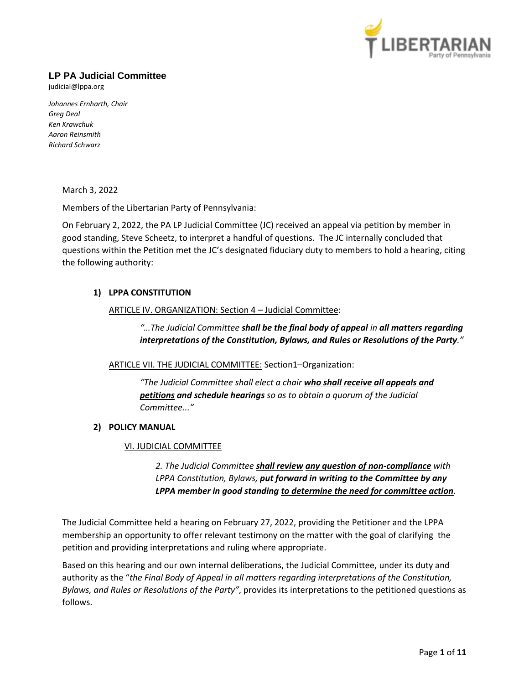

# **LP PA Judicial Committee**

judicial@lppa.org

*Johannes Ernharth, Chair Greg Deal Ken Krawchuk Aaron Reinsmith Richard Schwarz*

March 3, 2022

Members of the Libertarian Party of Pennsylvania:

On February 2, 2022, the PA LP Judicial Committee (JC) received an appeal via petition by member in good standing, Steve Scheetz, to interpret a handful of questions. The JC internally concluded that questions within the Petition met the JC's designated fiduciary duty to members to hold a hearing, citing the following authority:

# **1) LPPA CONSTITUTION**

### ARTICLE IV. ORGANIZATION: Section 4 – Judicial Committee:

*"…The Judicial Committee shall be the final body of appeal in all matters regarding interpretations of the Constitution, Bylaws, and Rules or Resolutions of the Party."*

ARTICLE VII. THE JUDICIAL COMMITTEE: Section1–Organization:

*"The Judicial Committee shall elect a chair who shall receive all appeals and petitions and schedule hearings so as to obtain a quorum of the Judicial Committee..."*

# **2) POLICY MANUAL**

#### VI. JUDICIAL COMMITTEE

*2. The Judicial Committee shall review any question of non-compliance with LPPA Constitution, Bylaws, put forward in writing to the Committee by any LPPA member in good standing to determine the need for committee action.*

The Judicial Committee held a hearing on February 27, 2022, providing the Petitioner and the LPPA membership an opportunity to offer relevant testimony on the matter with the goal of clarifying the petition and providing interpretations and ruling where appropriate.

Based on this hearing and our own internal deliberations, the Judicial Committee, under its duty and authority as the "*the Final Body of Appeal in all matters regarding interpretations of the Constitution, Bylaws, and Rules or Resolutions of the Party"*, provides its interpretations to the petitioned questions as follows.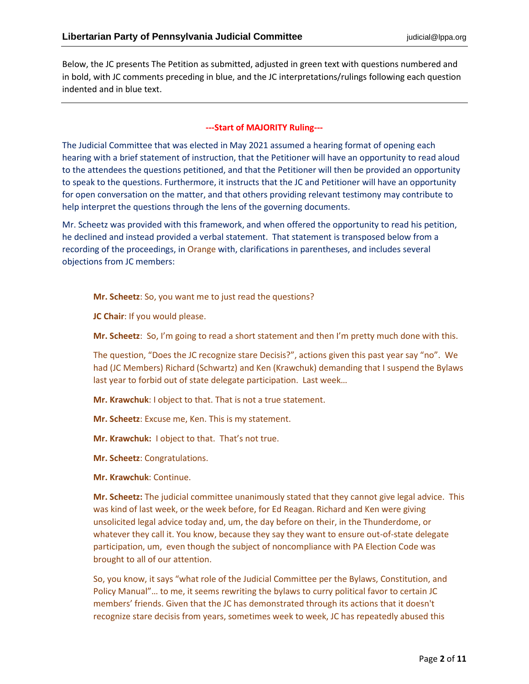Below, the JC presents The Petition as submitted, adjusted in green text with questions numbered and in bold, with JC comments preceding in blue, and the JC interpretations/rulings following each question indented and in blue text.

# **---Start of MAJORITY Ruling---**

The Judicial Committee that was elected in May 2021 assumed a hearing format of opening each hearing with a brief statement of instruction, that the Petitioner will have an opportunity to read aloud to the attendees the questions petitioned, and that the Petitioner will then be provided an opportunity to speak to the questions. Furthermore, it instructs that the JC and Petitioner will have an opportunity for open conversation on the matter, and that others providing relevant testimony may contribute to help interpret the questions through the lens of the governing documents.

Mr. Scheetz was provided with this framework, and when offered the opportunity to read his petition, he declined and instead provided a verbal statement. That statement is transposed below from a recording of the proceedings, in Orange with, clarifications in parentheses, and includes several objections from JC members:

**Mr. Scheetz**: So, you want me to just read the questions?

**JC Chair**: If you would please.

**Mr. Scheetz**: So, I'm going to read a short statement and then I'm pretty much done with this.

The question, "Does the JC recognize stare Decisis?", actions given this past year say "no". We had (JC Members) Richard (Schwartz) and Ken (Krawchuk) demanding that I suspend the Bylaws last year to forbid out of state delegate participation. Last week…

**Mr. Krawchuk**: I object to that. That is not a true statement.

**Mr. Scheetz**: Excuse me, Ken. This is my statement.

**Mr. Krawchuk:** I object to that. That's not true.

**Mr. Scheetz**: Congratulations.

**Mr. Krawchuk**: Continue.

**Mr. Scheetz:** The judicial committee unanimously stated that they cannot give legal advice. This was kind of last week, or the week before, for Ed Reagan. Richard and Ken were giving unsolicited legal advice today and, um, the day before on their, in the Thunderdome, or whatever they call it. You know, because they say they want to ensure out-of-state delegate participation, um, even though the subject of noncompliance with PA Election Code was brought to all of our attention.

So, you know, it says "what role of the Judicial Committee per the Bylaws, Constitution, and Policy Manual"… to me, it seems rewriting the bylaws to curry political favor to certain JC members' friends. Given that the JC has demonstrated through its actions that it doesn't recognize stare decisis from years, sometimes week to week, JC has repeatedly abused this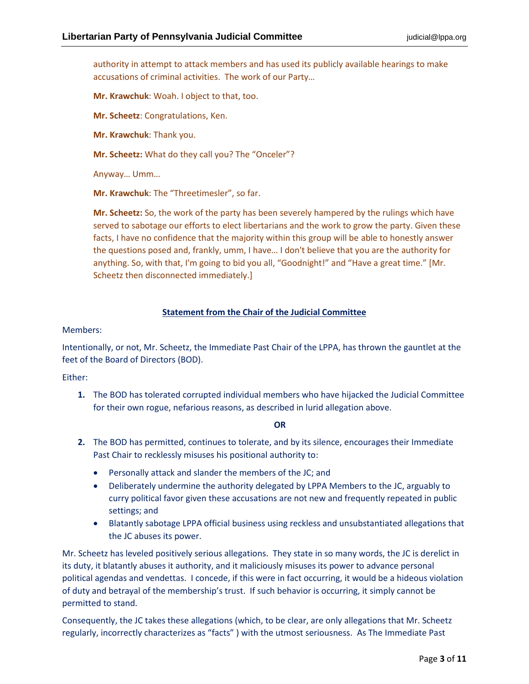authority in attempt to attack members and has used its publicly available hearings to make accusations of criminal activities. The work of our Party…

**Mr. Krawchuk**: Woah. I object to that, too.

**Mr. Scheetz**: Congratulations, Ken.

**Mr. Krawchuk**: Thank you.

**Mr. Scheetz:** What do they call you? The "Onceler"?

Anyway… Umm…

**Mr. Krawchuk**: The "Threetimesler", so far.

**Mr. Scheetz:** So, the work of the party has been severely hampered by the rulings which have served to sabotage our efforts to elect libertarians and the work to grow the party. Given these facts, I have no confidence that the majority within this group will be able to honestly answer the questions posed and, frankly, umm, I have… I don't believe that you are the authority for anything. So, with that, I'm going to bid you all, "Goodnight!" and "Have a great time." [Mr. Scheetz then disconnected immediately.]

#### **Statement from the Chair of the Judicial Committee**

Members:

Intentionally, or not, Mr. Scheetz, the Immediate Past Chair of the LPPA, has thrown the gauntlet at the feet of the Board of Directors (BOD).

Either:

**1.** The BOD has tolerated corrupted individual members who have hijacked the Judicial Committee for their own rogue, nefarious reasons, as described in lurid allegation above.

#### **OR**

- **2.** The BOD has permitted, continues to tolerate, and by its silence, encourages their Immediate Past Chair to recklessly misuses his positional authority to:
	- Personally attack and slander the members of the JC; and
	- Deliberately undermine the authority delegated by LPPA Members to the JC, arguably to curry political favor given these accusations are not new and frequently repeated in public settings; and
	- Blatantly sabotage LPPA official business using reckless and unsubstantiated allegations that the JC abuses its power.

Mr. Scheetz has leveled positively serious allegations. They state in so many words, the JC is derelict in its duty, it blatantly abuses it authority, and it maliciously misuses its power to advance personal political agendas and vendettas. I concede, if this were in fact occurring, it would be a hideous violation of duty and betrayal of the membership's trust. If such behavior is occurring, it simply cannot be permitted to stand.

Consequently, the JC takes these allegations (which, to be clear, are only allegations that Mr. Scheetz regularly, incorrectly characterizes as "facts" ) with the utmost seriousness. As The Immediate Past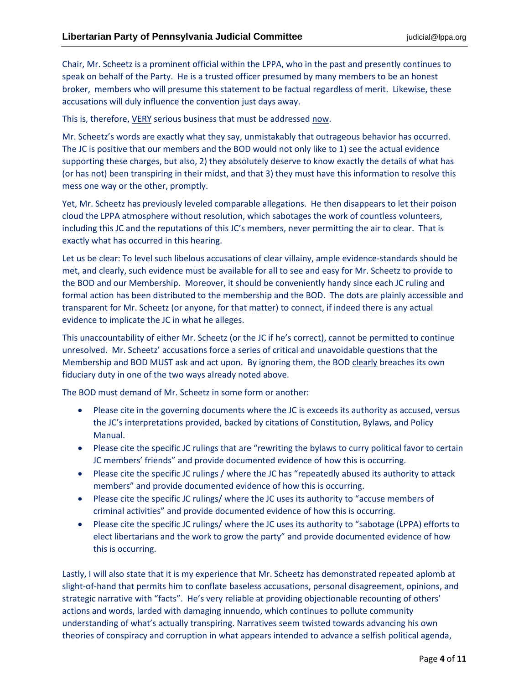Chair, Mr. Scheetz is a prominent official within the LPPA, who in the past and presently continues to speak on behalf of the Party. He is a trusted officer presumed by many members to be an honest broker, members who will presume this statement to be factual regardless of merit. Likewise, these accusations will duly influence the convention just days away.

This is, therefore, VERY serious business that must be addressed now.

Mr. Scheetz's words are exactly what they say, unmistakably that outrageous behavior has occurred. The JC is positive that our members and the BOD would not only like to 1) see the actual evidence supporting these charges, but also, 2) they absolutely deserve to know exactly the details of what has (or has not) been transpiring in their midst, and that 3) they must have this information to resolve this mess one way or the other, promptly.

Yet, Mr. Scheetz has previously leveled comparable allegations. He then disappears to let their poison cloud the LPPA atmosphere without resolution, which sabotages the work of countless volunteers, including this JC and the reputations of this JC's members, never permitting the air to clear. That is exactly what has occurred in this hearing.

Let us be clear: To level such libelous accusations of clear villainy, ample evidence-standards should be met, and clearly, such evidence must be available for all to see and easy for Mr. Scheetz to provide to the BOD and our Membership. Moreover, it should be conveniently handy since each JC ruling and formal action has been distributed to the membership and the BOD. The dots are plainly accessible and transparent for Mr. Scheetz (or anyone, for that matter) to connect, if indeed there is any actual evidence to implicate the JC in what he alleges.

This unaccountability of either Mr. Scheetz (or the JC if he's correct), cannot be permitted to continue unresolved. Mr. Scheetz' accusations force a series of critical and unavoidable questions that the Membership and BOD MUST ask and act upon. By ignoring them, the BOD clearly breaches its own fiduciary duty in one of the two ways already noted above.

The BOD must demand of Mr. Scheetz in some form or another:

- Please cite in the governing documents where the JC is exceeds its authority as accused, versus the JC's interpretations provided, backed by citations of Constitution, Bylaws, and Policy Manual.
- Please cite the specific JC rulings that are "rewriting the bylaws to curry political favor to certain JC members' friends" and provide documented evidence of how this is occurring.
- Please cite the specific JC rulings / where the JC has "repeatedly abused its authority to attack members" and provide documented evidence of how this is occurring.
- Please cite the specific JC rulings/ where the JC uses its authority to "accuse members of criminal activities" and provide documented evidence of how this is occurring.
- Please cite the specific JC rulings/ where the JC uses its authority to "sabotage (LPPA) efforts to elect libertarians and the work to grow the party" and provide documented evidence of how this is occurring.

Lastly, I will also state that it is my experience that Mr. Scheetz has demonstrated repeated aplomb at slight-of-hand that permits him to conflate baseless accusations, personal disagreement, opinions, and strategic narrative with "facts". He's very reliable at providing objectionable recounting of others' actions and words, larded with damaging innuendo, which continues to pollute community understanding of what's actually transpiring. Narratives seem twisted towards advancing his own theories of conspiracy and corruption in what appears intended to advance a selfish political agenda,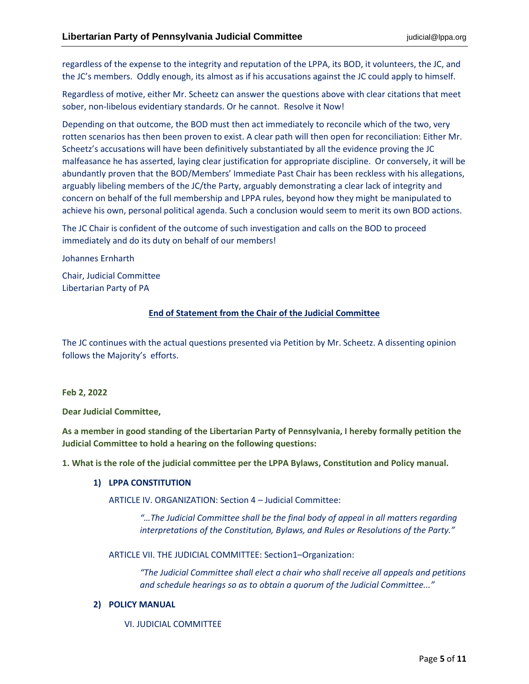regardless of the expense to the integrity and reputation of the LPPA, its BOD, it volunteers, the JC, and the JC's members. Oddly enough, its almost as if his accusations against the JC could apply to himself.

Regardless of motive, either Mr. Scheetz can answer the questions above with clear citations that meet sober, non-libelous evidentiary standards. Or he cannot. Resolve it Now!

Depending on that outcome, the BOD must then act immediately to reconcile which of the two, very rotten scenarios has then been proven to exist. A clear path will then open for reconciliation: Either Mr. Scheetz's accusations will have been definitively substantiated by all the evidence proving the JC malfeasance he has asserted, laying clear justification for appropriate discipline. Or conversely, it will be abundantly proven that the BOD/Members' Immediate Past Chair has been reckless with his allegations, arguably libeling members of the JC/the Party, arguably demonstrating a clear lack of integrity and concern on behalf of the full membership and LPPA rules, beyond how they might be manipulated to achieve his own, personal political agenda. Such a conclusion would seem to merit its own BOD actions.

The JC Chair is confident of the outcome of such investigation and calls on the BOD to proceed immediately and do its duty on behalf of our members!

Johannes Ernharth

Chair, Judicial Committee Libertarian Party of PA

# **End of Statement from the Chair of the Judicial Committee**

The JC continues with the actual questions presented via Petition by Mr. Scheetz. A dissenting opinion follows the Majority's efforts.

# **Feb 2, 2022**

**Dear Judicial Committee,**

**As a member in good standing of the Libertarian Party of Pennsylvania, I hereby formally petition the Judicial Committee to hold a hearing on the following questions:**

**1. What is the role of the judicial committee per the LPPA Bylaws, Constitution and Policy manual.**

# **1) LPPA CONSTITUTION**

ARTICLE IV. ORGANIZATION: Section 4 – Judicial Committee:

*"…The Judicial Committee shall be the final body of appeal in all matters regarding interpretations of the Constitution, Bylaws, and Rules or Resolutions of the Party."*

ARTICLE VII. THE JUDICIAL COMMITTEE: Section1–Organization:

*"The Judicial Committee shall elect a chair who shall receive all appeals and petitions and schedule hearings so as to obtain a quorum of the Judicial Committee..."*

# **2) POLICY MANUAL**

VI. JUDICIAL COMMITTEE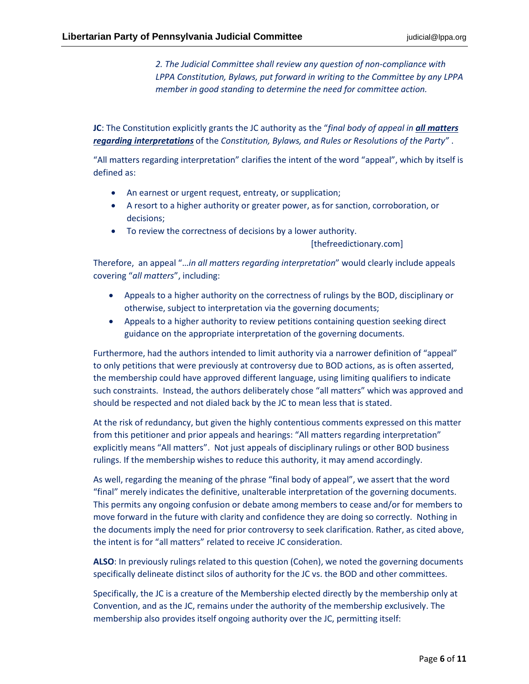*2. The Judicial Committee shall review any question of non-compliance with LPPA Constitution, Bylaws, put forward in writing to the Committee by any LPPA member in good standing to determine the need for committee action.*

**JC**: The Constitution explicitly grants the JC authority as the "*final body of appeal in all matters regarding interpretations* of the *Constitution, Bylaws, and Rules or Resolutions of the Party"* .

"All matters regarding interpretation" clarifies the intent of the word "appeal", which by itself is defined as:

- An earnest or urgent request, entreaty, or supplication;
- A resort to a higher authority or greater power, as for sanction, corroboration, or decisions;
- To review the correctness of decisions by a lower authority.

[thefreedictionary.com]

Therefore, an appeal "…*in all matters regarding interpretation*" would clearly include appeals covering "*all matters*", including:

- Appeals to a higher authority on the correctness of rulings by the BOD, disciplinary or otherwise, subject to interpretation via the governing documents;
- Appeals to a higher authority to review petitions containing question seeking direct guidance on the appropriate interpretation of the governing documents.

Furthermore, had the authors intended to limit authority via a narrower definition of "appeal" to only petitions that were previously at controversy due to BOD actions, as is often asserted, the membership could have approved different language, using limiting qualifiers to indicate such constraints. Instead, the authors deliberately chose "all matters" which was approved and should be respected and not dialed back by the JC to mean less that is stated.

At the risk of redundancy, but given the highly contentious comments expressed on this matter from this petitioner and prior appeals and hearings: "All matters regarding interpretation" explicitly means "All matters". Not just appeals of disciplinary rulings or other BOD business rulings. If the membership wishes to reduce this authority, it may amend accordingly.

As well, regarding the meaning of the phrase "final body of appeal", we assert that the word "final" merely indicates the definitive, unalterable interpretation of the governing documents. This permits any ongoing confusion or debate among members to cease and/or for members to move forward in the future with clarity and confidence they are doing so correctly. Nothing in the documents imply the need for prior controversy to seek clarification. Rather, as cited above, the intent is for "all matters" related to receive JC consideration.

**ALSO**: In previously rulings related to this question (Cohen), we noted the governing documents specifically delineate distinct silos of authority for the JC vs. the BOD and other committees.

Specifically, the JC is a creature of the Membership elected directly by the membership only at Convention, and as the JC, remains under the authority of the membership exclusively. The membership also provides itself ongoing authority over the JC, permitting itself: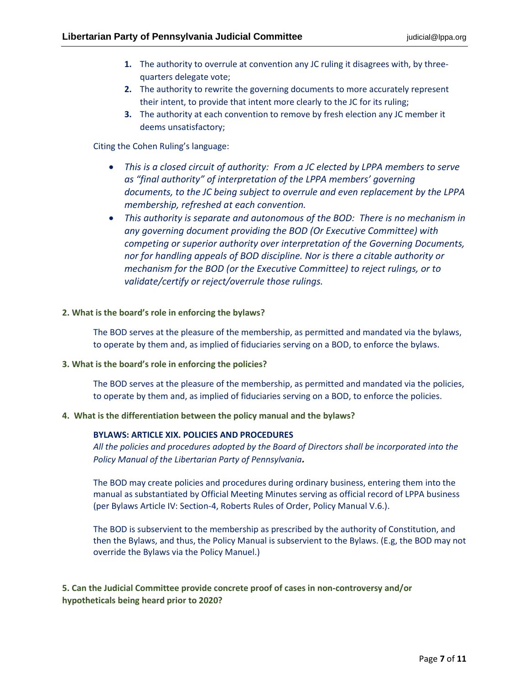- **1.** The authority to overrule at convention any JC ruling it disagrees with, by threequarters delegate vote;
- **2.** The authority to rewrite the governing documents to more accurately represent their intent, to provide that intent more clearly to the JC for its ruling;
- **3.** The authority at each convention to remove by fresh election any JC member it deems unsatisfactory;

### Citing the Cohen Ruling's language:

- *This is a closed circuit of authority: From a JC elected by LPPA members to serve as "final authority" of interpretation of the LPPA members' governing documents, to the JC being subject to overrule and even replacement by the LPPA membership, refreshed at each convention.*
- *This authority is separate and autonomous of the BOD: There is no mechanism in any governing document providing the BOD (Or Executive Committee) with competing or superior authority over interpretation of the Governing Documents, nor for handling appeals of BOD discipline. Nor is there a citable authority or mechanism for the BOD (or the Executive Committee) to reject rulings, or to validate/certify or reject/overrule those rulings.*

### **2. What is the board's role in enforcing the bylaws?**

The BOD serves at the pleasure of the membership, as permitted and mandated via the bylaws, to operate by them and, as implied of fiduciaries serving on a BOD, to enforce the bylaws.

#### **3. What is the board's role in enforcing the policies?**

The BOD serves at the pleasure of the membership, as permitted and mandated via the policies, to operate by them and, as implied of fiduciaries serving on a BOD, to enforce the policies.

# **4. What is the differentiation between the policy manual and the bylaws?**

# **BYLAWS: ARTICLE XIX. POLICIES AND PROCEDURES**

*All the policies and procedures adopted by the Board of Directors shall be incorporated into the Policy Manual of the Libertarian Party of Pennsylvania.*

The BOD may create policies and procedures during ordinary business, entering them into the manual as substantiated by Official Meeting Minutes serving as official record of LPPA business (per Bylaws Article IV: Section-4, Roberts Rules of Order, Policy Manual V.6.).

The BOD is subservient to the membership as prescribed by the authority of Constitution, and then the Bylaws, and thus, the Policy Manual is subservient to the Bylaws. (E.g, the BOD may not override the Bylaws via the Policy Manuel.)

**5. Can the Judicial Committee provide concrete proof of cases in non-controversy and/or hypotheticals being heard prior to 2020?**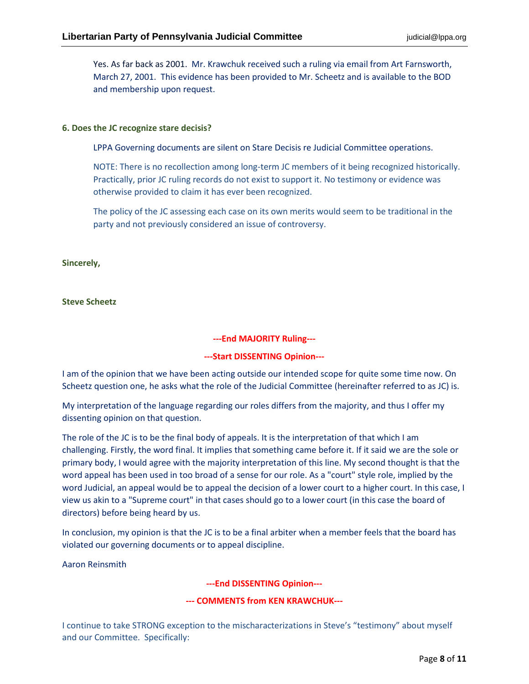Yes. As far back as 2001. Mr. Krawchuk received such a ruling via email from Art Farnsworth, March 27, 2001. This evidence has been provided to Mr. Scheetz and is available to the BOD and membership upon request.

#### **6. Does the JC recognize stare decisis?**

LPPA Governing documents are silent on Stare Decisis re Judicial Committee operations.

NOTE: There is no recollection among long-term JC members of it being recognized historically. Practically, prior JC ruling records do not exist to support it. No testimony or evidence was otherwise provided to claim it has ever been recognized.

The policy of the JC assessing each case on its own merits would seem to be traditional in the party and not previously considered an issue of controversy.

**Sincerely,**

**Steve Scheetz**

### **---End MAJORITY Ruling---**

#### **---Start DISSENTING Opinion---**

I am of the opinion that we have been acting outside our intended scope for quite some time now. On Scheetz question one, he asks what the role of the Judicial Committee (hereinafter referred to as JC) is.

My interpretation of the language regarding our roles differs from the majority, and thus I offer my dissenting opinion on that question.

The role of the JC is to be the final body of appeals. It is the interpretation of that which I am challenging. Firstly, the word final. It implies that something came before it. If it said we are the sole or primary body, I would agree with the majority interpretation of this line. My second thought is that the word appeal has been used in too broad of a sense for our role. As a "court" style role, implied by the word Judicial, an appeal would be to appeal the decision of a lower court to a higher court. In this case, I view us akin to a "Supreme court" in that cases should go to a lower court (in this case the board of directors) before being heard by us.

In conclusion, my opinion is that the JC is to be a final arbiter when a member feels that the board has violated our governing documents or to appeal discipline.

Aaron Reinsmith

**---End DISSENTING Opinion---**

# **--- COMMENTS from KEN KRAWCHUK---**

I continue to take STRONG exception to the mischaracterizations in Steve's "testimony" about myself and our Committee. Specifically: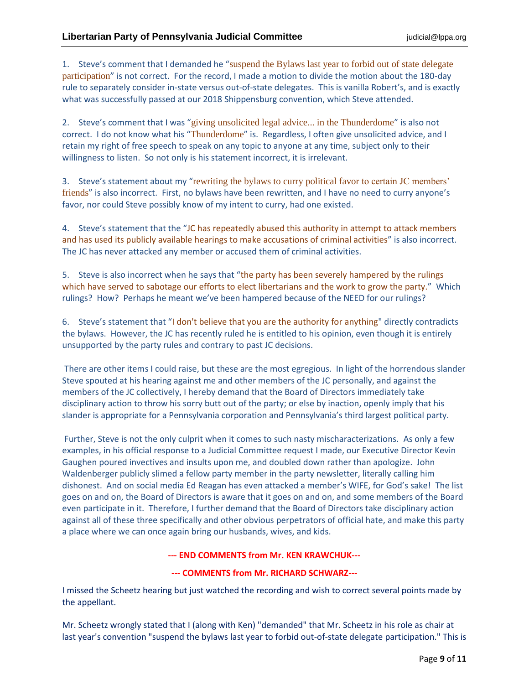1. Steve's comment that I demanded he "suspend the Bylaws last year to forbid out of state delegate participation" is not correct. For the record, I made a motion to divide the motion about the 180-day rule to separately consider in-state versus out-of-state delegates. This is vanilla Robert's, and is exactly what was successfully passed at our 2018 Shippensburg convention, which Steve attended.

2. Steve's comment that I was "giving unsolicited legal advice... in the Thunderdome" is also not correct. I do not know what his "Thunderdome" is. Regardless, I often give unsolicited advice, and I retain my right of free speech to speak on any topic to anyone at any time, subject only to their willingness to listen. So not only is his statement incorrect, it is irrelevant.

3. Steve's statement about my "rewriting the bylaws to curry political favor to certain JC members' friends" is also incorrect. First, no bylaws have been rewritten, and I have no need to curry anyone's favor, nor could Steve possibly know of my intent to curry, had one existed.

4. Steve's statement that the "JC has repeatedly abused this authority in attempt to attack members and has used its publicly available hearings to make accusations of criminal activities" is also incorrect. The JC has never attacked any member or accused them of criminal activities.

5. Steve is also incorrect when he says that "the party has been severely hampered by the rulings which have served to sabotage our efforts to elect libertarians and the work to grow the party." Which rulings? How? Perhaps he meant we've been hampered because of the NEED for our rulings?

6. Steve's statement that "I don't believe that you are the authority for anything" directly contradicts the bylaws. However, the JC has recently ruled he is entitled to his opinion, even though it is entirely unsupported by the party rules and contrary to past JC decisions.

There are other items I could raise, but these are the most egregious. In light of the horrendous slander Steve spouted at his hearing against me and other members of the JC personally, and against the members of the JC collectively, I hereby demand that the Board of Directors immediately take disciplinary action to throw his sorry butt out of the party; or else by inaction, openly imply that his slander is appropriate for a Pennsylvania corporation and Pennsylvania's third largest political party.

Further, Steve is not the only culprit when it comes to such nasty mischaracterizations. As only a few examples, in his official response to a Judicial Committee request I made, our Executive Director Kevin Gaughen poured invectives and insults upon me, and doubled down rather than apologize. John Waldenberger publicly slimed a fellow party member in the party newsletter, literally calling him dishonest. And on social media Ed Reagan has even attacked a member's WIFE, for God's sake! The list goes on and on, the Board of Directors is aware that it goes on and on, and some members of the Board even participate in it. Therefore, I further demand that the Board of Directors take disciplinary action against all of these three specifically and other obvious perpetrators of official hate, and make this party a place where we can once again bring our husbands, wives, and kids.

**--- END COMMENTS from Mr. KEN KRAWCHUK---**

# **--- COMMENTS from Mr. RICHARD SCHWARZ---**

I missed the Scheetz hearing but just watched the recording and wish to correct several points made by the appellant.

Mr. Scheetz wrongly stated that I (along with Ken) "demanded" that Mr. Scheetz in his role as chair at last year's convention "suspend the bylaws last year to forbid out-of-state delegate participation." This is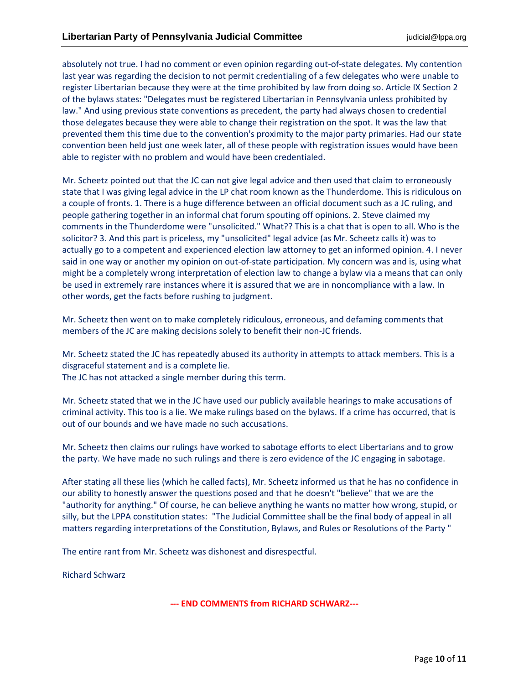absolutely not true. I had no comment or even opinion regarding out-of-state delegates. My contention last year was regarding the decision to not permit credentialing of a few delegates who were unable to register Libertarian because they were at the time prohibited by law from doing so. Article IX Section 2 of the bylaws states: "Delegates must be registered Libertarian in Pennsylvania unless prohibited by law." And using previous state conventions as precedent, the party had always chosen to credential those delegates because they were able to change their registration on the spot. It was the law that prevented them this time due to the convention's proximity to the major party primaries. Had our state convention been held just one week later, all of these people with registration issues would have been able to register with no problem and would have been credentialed.

Mr. Scheetz pointed out that the JC can not give legal advice and then used that claim to erroneously state that I was giving legal advice in the LP chat room known as the Thunderdome. This is ridiculous on a couple of fronts. 1. There is a huge difference between an official document such as a JC ruling, and people gathering together in an informal chat forum spouting off opinions. 2. Steve claimed my comments in the Thunderdome were "unsolicited." What?? This is a chat that is open to all. Who is the solicitor? 3. And this part is priceless, my "unsolicited" legal advice (as Mr. Scheetz calls it) was to actually go to a competent and experienced election law attorney to get an informed opinion. 4. I never said in one way or another my opinion on out-of-state participation. My concern was and is, using what might be a completely wrong interpretation of election law to change a bylaw via a means that can only be used in extremely rare instances where it is assured that we are in noncompliance with a law. In other words, get the facts before rushing to judgment.

Mr. Scheetz then went on to make completely ridiculous, erroneous, and defaming comments that members of the JC are making decisions solely to benefit their non-JC friends.

Mr. Scheetz stated the JC has repeatedly abused its authority in attempts to attack members. This is a disgraceful statement and is a complete lie. The JC has not attacked a single member during this term.

Mr. Scheetz stated that we in the JC have used our publicly available hearings to make accusations of criminal activity. This too is a lie. We make rulings based on the bylaws. If a crime has occurred, that is out of our bounds and we have made no such accusations.

Mr. Scheetz then claims our rulings have worked to sabotage efforts to elect Libertarians and to grow the party. We have made no such rulings and there is zero evidence of the JC engaging in sabotage.

After stating all these lies (which he called facts), Mr. Scheetz informed us that he has no confidence in our ability to honestly answer the questions posed and that he doesn't "believe" that we are the "authority for anything." Of course, he can believe anything he wants no matter how wrong, stupid, or silly, but the LPPA constitution states: "The Judicial Committee shall be the final body of appeal in all matters regarding interpretations of the Constitution, Bylaws, and Rules or Resolutions of the Party "

The entire rant from Mr. Scheetz was dishonest and disrespectful.

Richard Schwarz

**--- END COMMENTS from RICHARD SCHWARZ---**